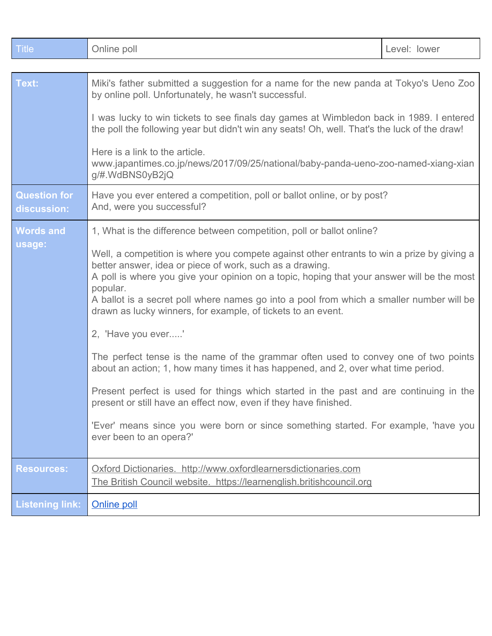| <b>Title</b>                       | Online poll                                                                                                                                                                                                                                                                                                                                                                                                                                                                                                                                                                                                                                                                                             | Level: lower |
|------------------------------------|---------------------------------------------------------------------------------------------------------------------------------------------------------------------------------------------------------------------------------------------------------------------------------------------------------------------------------------------------------------------------------------------------------------------------------------------------------------------------------------------------------------------------------------------------------------------------------------------------------------------------------------------------------------------------------------------------------|--------------|
|                                    |                                                                                                                                                                                                                                                                                                                                                                                                                                                                                                                                                                                                                                                                                                         |              |
| Text:                              | Miki's father submitted a suggestion for a name for the new panda at Tokyo's Ueno Zoo<br>by online poll. Unfortunately, he wasn't successful.                                                                                                                                                                                                                                                                                                                                                                                                                                                                                                                                                           |              |
|                                    | I was lucky to win tickets to see finals day games at Wimbledon back in 1989. I entered<br>the poll the following year but didn't win any seats! Oh, well. That's the luck of the draw!                                                                                                                                                                                                                                                                                                                                                                                                                                                                                                                 |              |
|                                    | Here is a link to the article.<br>www.japantimes.co.jp/news/2017/09/25/national/baby-panda-ueno-zoo-named-xiang-xian<br>g/#.WdBNS0yB2jQ                                                                                                                                                                                                                                                                                                                                                                                                                                                                                                                                                                 |              |
| <b>Question for</b><br>discussion: | Have you ever entered a competition, poll or ballot online, or by post?<br>And, were you successful?                                                                                                                                                                                                                                                                                                                                                                                                                                                                                                                                                                                                    |              |
| <b>Words and</b>                   | 1, What is the difference between competition, poll or ballot online?<br>Well, a competition is where you compete against other entrants to win a prize by giving a<br>better answer, idea or piece of work, such as a drawing.<br>A poll is where you give your opinion on a topic, hoping that your answer will be the most<br>popular.<br>A ballot is a secret poll where names go into a pool from which a smaller number will be<br>drawn as lucky winners, for example, of tickets to an event.<br>2, 'Have you ever'<br>The perfect tense is the name of the grammar often used to convey one of two points<br>about an action; 1, how many times it has happened, and 2, over what time period. |              |
| usage:                             |                                                                                                                                                                                                                                                                                                                                                                                                                                                                                                                                                                                                                                                                                                         |              |
|                                    |                                                                                                                                                                                                                                                                                                                                                                                                                                                                                                                                                                                                                                                                                                         |              |
|                                    |                                                                                                                                                                                                                                                                                                                                                                                                                                                                                                                                                                                                                                                                                                         |              |
|                                    | Present perfect is used for things which started in the past and are continuing in the<br>present or still have an effect now, even if they have finished.                                                                                                                                                                                                                                                                                                                                                                                                                                                                                                                                              |              |
|                                    | 'Ever' means since you were born or since something started. For example, 'have you<br>ever been to an opera?'                                                                                                                                                                                                                                                                                                                                                                                                                                                                                                                                                                                          |              |
| <b>Resources:</b>                  | Oxford Dictionaries. http://www.oxfordlearnersdictionaries.com<br>The British Council website. https://learnenglish.britishcouncil.org                                                                                                                                                                                                                                                                                                                                                                                                                                                                                                                                                                  |              |
| <b>Listening link:</b>             | <b>Online poll</b>                                                                                                                                                                                                                                                                                                                                                                                                                                                                                                                                                                                                                                                                                      |              |